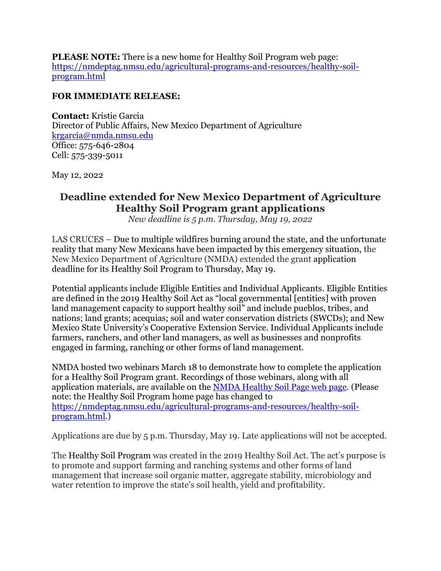**PLEASE NOTE:** There is a new home for Healthy Soil Program web page: [https://nmdeptag.nmsu.edu/agricultural-programs-and-resources/healthy-soil](https://nmdeptag.nmsu.edu/agricultural-programs-and-resources/healthy-soil-program.html)[program.html](https://nmdeptag.nmsu.edu/agricultural-programs-and-resources/healthy-soil-program.html)

## **FOR IMMEDIATE RELEASE:**

**Contact:** Kristie Garcia Director of Public Affairs, New Mexico Department of Agriculture [krgarcia@nmda.nmsu.edu](mailto:krgarcia@nmda.nmsu.edu) Office: 575-646-2804 Cell: 575-339-5011

May 12, 2022

## **Deadline extended for New Mexico Department of Agriculture Healthy Soil Program grant applications**

*New deadline is 5 p.m. Thursday, May 19, 2022*

LAS CRUCES – Due to multiple wildfires burning around the state, and the unfortunate reality that many New Mexicans have been impacted by this emergency situation, the New Mexico Department of Agriculture (NMDA) extended the grant application deadline for its Healthy Soil Program to Thursday, May 19.

Potential applicants include Eligible Entities and Individual Applicants. Eligible Entities are defined in the 2019 Healthy Soil Act as "local governmental [entities] with proven land management capacity to support healthy soil" and include pueblos, tribes, and nations; land grants; acequias; soil and water conservation districts (SWCDs); and New Mexico State University's Cooperative Extension Service. Individual Applicants include farmers, ranchers, and other land managers, as well as businesses and nonprofits engaged in farming, ranching or other forms of land management.

NMDA hosted two webinars March 18 to demonstrate how to complete the application for a Healthy Soil Program grant. Recordings of those webinars, along with all application materials, are available on the NMDA [Healthy](https://nmdeptag.nmsu.edu/agricultural-programs-and-resources/healthy-soil-program.html) Soil Page web page. (Please note: the Healthy Soil Program home page has changed to [https://nmdeptag.nmsu.edu/agricultural-programs-and-resources/healthy-soil](https://nmdeptag.nmsu.edu/agricultural-programs-and-resources/healthy-soil-program.html)[program.html.](https://nmdeptag.nmsu.edu/agricultural-programs-and-resources/healthy-soil-program.html))

Applications are due by 5 p.m. Thursday, May 19. Late applications will not be accepted.

The Healthy Soil Program was created in the 2019 Healthy Soil Act. The act's purpose is to promote and support farming and ranching systems and other forms of land management that increase soil organic matter, aggregate stability, microbiology and water retention to improve the state's soil health, yield and profitability.